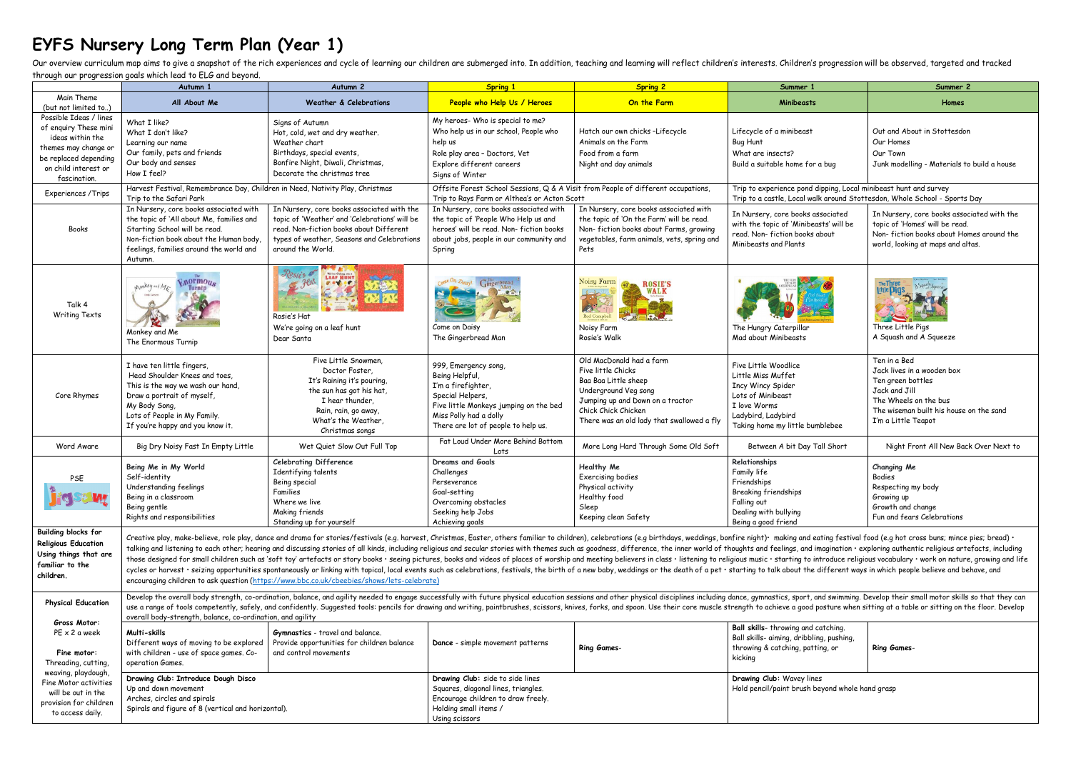## **EYFS Nursery Long Term Plan (Year 1)**

Our overview curriculum map aims to give a snapshot of the rich experiences and cycle of learning our children are submerged into. In addition, teaching and learning will reflect children's interests. Children's progressio through our progression goals which lead to ELG and beyond.

|                            | if ought our progression goals which read to LLO and Deyond.<br>Autumn 1                                                                                                                                                                                                                                                                                                                                                                                        | Autumn 2                                                                                                                                                                                                                       | <b>Spring 1</b>                                                                   | <b>Spring 2</b>                            | Summer 1                                                                  | Summer 2                                                                                                                                                                                                                       |  |  |
|----------------------------|-----------------------------------------------------------------------------------------------------------------------------------------------------------------------------------------------------------------------------------------------------------------------------------------------------------------------------------------------------------------------------------------------------------------------------------------------------------------|--------------------------------------------------------------------------------------------------------------------------------------------------------------------------------------------------------------------------------|-----------------------------------------------------------------------------------|--------------------------------------------|---------------------------------------------------------------------------|--------------------------------------------------------------------------------------------------------------------------------------------------------------------------------------------------------------------------------|--|--|
| Main Theme                 |                                                                                                                                                                                                                                                                                                                                                                                                                                                                 |                                                                                                                                                                                                                                |                                                                                   |                                            |                                                                           |                                                                                                                                                                                                                                |  |  |
| (but not limited to)       | All About Me                                                                                                                                                                                                                                                                                                                                                                                                                                                    | <b>Weather &amp; Celebrations</b>                                                                                                                                                                                              | People who Help Us / Heroes                                                       | On the Farm                                | <b>Minibeasts</b>                                                         | Homes                                                                                                                                                                                                                          |  |  |
| Possible Ideas / lines     |                                                                                                                                                                                                                                                                                                                                                                                                                                                                 |                                                                                                                                                                                                                                |                                                                                   |                                            |                                                                           |                                                                                                                                                                                                                                |  |  |
| of enguiry These mini      | What I like?                                                                                                                                                                                                                                                                                                                                                                                                                                                    | Signs of Autumn                                                                                                                                                                                                                | My heroes- Who is special to me?                                                  |                                            |                                                                           |                                                                                                                                                                                                                                |  |  |
| ideas within the           | What I don't like?                                                                                                                                                                                                                                                                                                                                                                                                                                              | Hot, cold, wet and dry weather.                                                                                                                                                                                                | Who help us in our school, People who                                             | Hatch our own chicks -Lifecycle            | Lifecycle of a minibeast                                                  | Out and About in Stottesdon                                                                                                                                                                                                    |  |  |
|                            | Learning our name                                                                                                                                                                                                                                                                                                                                                                                                                                               | Weather chart                                                                                                                                                                                                                  | help us                                                                           | Animals on the Farm                        | Bug Hunt                                                                  | Our Homes                                                                                                                                                                                                                      |  |  |
| themes may change or       | Our family, pets and friends                                                                                                                                                                                                                                                                                                                                                                                                                                    | Birthdays, special events,                                                                                                                                                                                                     | Role play area - Doctors, Vet                                                     | Food from a farm                           | What are insects?                                                         | Our Town                                                                                                                                                                                                                       |  |  |
| be replaced depending      | Our body and senses                                                                                                                                                                                                                                                                                                                                                                                                                                             | Bonfire Night, Diwali, Christmas,                                                                                                                                                                                              | Explore different careers                                                         | Night and day animals                      | Build a suitable home for a bug                                           | Junk modelling - Materials to build a house                                                                                                                                                                                    |  |  |
| on child interest or       | How I feel?                                                                                                                                                                                                                                                                                                                                                                                                                                                     | Decorate the christmas tree                                                                                                                                                                                                    | Signs of Winter                                                                   |                                            |                                                                           |                                                                                                                                                                                                                                |  |  |
| fascination.               |                                                                                                                                                                                                                                                                                                                                                                                                                                                                 |                                                                                                                                                                                                                                |                                                                                   |                                            |                                                                           |                                                                                                                                                                                                                                |  |  |
| Experiences / Trips        | Harvest Festival, Remembrance Day, Children in Need, Nativity Play, Christmas                                                                                                                                                                                                                                                                                                                                                                                   |                                                                                                                                                                                                                                | Offsite Forest School Sessions, Q & A Visit from People of different occupations, |                                            | Trip to experience pond dipping, Local minibeast hunt and survey          |                                                                                                                                                                                                                                |  |  |
|                            | Trip to the Safari Park                                                                                                                                                                                                                                                                                                                                                                                                                                         |                                                                                                                                                                                                                                | Trip to Rays Farm or Althea's or Acton Scott                                      |                                            | Trip to a castle, Local walk around Stottesdon, Whole School - Sports Day |                                                                                                                                                                                                                                |  |  |
|                            | In Nursery, core books associated with                                                                                                                                                                                                                                                                                                                                                                                                                          | In Nursery, core books associated with the                                                                                                                                                                                     | In Nursery, core books associated with                                            | In Nursery, core books associated with     | In Nursery, core books associated                                         | In Nursery, core books associated with the                                                                                                                                                                                     |  |  |
|                            | the topic of 'All about Me, families and                                                                                                                                                                                                                                                                                                                                                                                                                        | topic of 'Weather' and 'Celebrations' will be                                                                                                                                                                                  | the topic of 'People Who Help us and                                              | the topic of 'On the Farm' will be read.   | with the topic of 'Minibeasts' will be                                    | topic of 'Homes' will be read.                                                                                                                                                                                                 |  |  |
| Books                      | Starting School will be read.                                                                                                                                                                                                                                                                                                                                                                                                                                   | read. Non-fiction books about Different                                                                                                                                                                                        | heroes' will be read. Non-fiction books                                           | Non-fiction books about Farms, growing     | read. Non-fiction books about                                             | Non-fiction books about Homes around the                                                                                                                                                                                       |  |  |
|                            | Non-fiction book about the Human body,                                                                                                                                                                                                                                                                                                                                                                                                                          | types of weather, Seasons and Celebrations                                                                                                                                                                                     | about jobs, people in our community and                                           | vegetables, farm animals, vets, spring and | Minibeasts and Plants                                                     | world, looking at maps and altas.                                                                                                                                                                                              |  |  |
|                            | feelings, families around the world and                                                                                                                                                                                                                                                                                                                                                                                                                         | around the World.                                                                                                                                                                                                              | Spring                                                                            | Pets                                       |                                                                           |                                                                                                                                                                                                                                |  |  |
|                            | Autumn.                                                                                                                                                                                                                                                                                                                                                                                                                                                         |                                                                                                                                                                                                                                |                                                                                   |                                            |                                                                           |                                                                                                                                                                                                                                |  |  |
|                            |                                                                                                                                                                                                                                                                                                                                                                                                                                                                 | We're Coing on a                                                                                                                                                                                                               |                                                                                   |                                            |                                                                           |                                                                                                                                                                                                                                |  |  |
|                            | <b>Vnormous</b><br>Monkey and Mr                                                                                                                                                                                                                                                                                                                                                                                                                                | urs<br>9.69.09                                                                                                                                                                                                                 |                                                                                   | Noisy Farm<br><b>ROSIE'S</b>               |                                                                           | The Three                                                                                                                                                                                                                      |  |  |
|                            |                                                                                                                                                                                                                                                                                                                                                                                                                                                                 |                                                                                                                                                                                                                                |                                                                                   | WALK                                       |                                                                           |                                                                                                                                                                                                                                |  |  |
| Talk 4                     |                                                                                                                                                                                                                                                                                                                                                                                                                                                                 |                                                                                                                                                                                                                                |                                                                                   |                                            |                                                                           |                                                                                                                                                                                                                                |  |  |
| <b>Writing Texts</b>       |                                                                                                                                                                                                                                                                                                                                                                                                                                                                 | Rosie's Hat                                                                                                                                                                                                                    |                                                                                   | Rod Campbell                               |                                                                           |                                                                                                                                                                                                                                |  |  |
|                            |                                                                                                                                                                                                                                                                                                                                                                                                                                                                 |                                                                                                                                                                                                                                |                                                                                   |                                            |                                                                           | Three Little Pigs                                                                                                                                                                                                              |  |  |
|                            | Monkey and Me                                                                                                                                                                                                                                                                                                                                                                                                                                                   | We're going on a leaf hunt                                                                                                                                                                                                     | Come on Daisy                                                                     | Noisy Farm<br>Rosie's Walk                 | The Hungry Caterpillar<br>Mad about Minibeasts                            | A Squash and A Squeeze                                                                                                                                                                                                         |  |  |
|                            | The Enormous Turnip                                                                                                                                                                                                                                                                                                                                                                                                                                             | Dear Santa                                                                                                                                                                                                                     | The Gingerbread Man                                                               |                                            |                                                                           |                                                                                                                                                                                                                                |  |  |
|                            |                                                                                                                                                                                                                                                                                                                                                                                                                                                                 |                                                                                                                                                                                                                                |                                                                                   |                                            |                                                                           |                                                                                                                                                                                                                                |  |  |
|                            | I have ten little fingers,                                                                                                                                                                                                                                                                                                                                                                                                                                      | Five Little Snowmen.                                                                                                                                                                                                           | 999, Emergency song,                                                              | Old MacDonald had a farm                   | Five Little Woodlice                                                      | Ten in a Bed                                                                                                                                                                                                                   |  |  |
|                            | Head Shoulder Knees and toes,                                                                                                                                                                                                                                                                                                                                                                                                                                   | Doctor Foster,                                                                                                                                                                                                                 | Being Helpful,                                                                    | Five little Chicks                         | Little Miss Muffet                                                        | Jack lives in a wooden box                                                                                                                                                                                                     |  |  |
|                            | This is the way we wash our hand,                                                                                                                                                                                                                                                                                                                                                                                                                               | It's Raining it's pouring,                                                                                                                                                                                                     | I'm a firefighter,                                                                | Baa Baa Little sheep                       | <b>Incy Wincy Spider</b>                                                  | Ten green bottles                                                                                                                                                                                                              |  |  |
| Core Rhymes                | Draw a portrait of myself,                                                                                                                                                                                                                                                                                                                                                                                                                                      | the sun has got his hat,                                                                                                                                                                                                       | Special Helpers,                                                                  | Underground Veg song                       | Lots of Minibeast                                                         | Jack and Jill                                                                                                                                                                                                                  |  |  |
|                            | My Body Song,                                                                                                                                                                                                                                                                                                                                                                                                                                                   | I hear thunder,                                                                                                                                                                                                                | Five little Monkeys jumping on the bed                                            | Jumping up and Down on a tractor           | I love Worms                                                              | The Wheels on the bus                                                                                                                                                                                                          |  |  |
|                            | Lots of People in My Family.                                                                                                                                                                                                                                                                                                                                                                                                                                    | Rain, rain, go away,                                                                                                                                                                                                           | Miss Polly had a dolly                                                            | Chick Chick Chicken                        | Ladybird, Ladybird                                                        | The wiseman built his house on the sand                                                                                                                                                                                        |  |  |
|                            | If you're happy and you know it.                                                                                                                                                                                                                                                                                                                                                                                                                                | What's the Weather,                                                                                                                                                                                                            | There are lot of people to help us.                                               | There was an old lady that swallowed a fly | Taking home my little bumblebee                                           | I'm a Little Teapot                                                                                                                                                                                                            |  |  |
|                            |                                                                                                                                                                                                                                                                                                                                                                                                                                                                 | Christmas songs                                                                                                                                                                                                                |                                                                                   |                                            |                                                                           |                                                                                                                                                                                                                                |  |  |
| Word Aware                 | Big Dry Noisy Fast In Empty Little                                                                                                                                                                                                                                                                                                                                                                                                                              | Wet Quiet Slow Out Full Top                                                                                                                                                                                                    | Fat Loud Under More Behind Bottom                                                 | More Long Hard Through Some Old Soft       | Between A bit Day Tall Short                                              | Night Front All New Back Over Next to                                                                                                                                                                                          |  |  |
|                            |                                                                                                                                                                                                                                                                                                                                                                                                                                                                 |                                                                                                                                                                                                                                | Lots                                                                              |                                            |                                                                           |                                                                                                                                                                                                                                |  |  |
|                            | Being Me in My World                                                                                                                                                                                                                                                                                                                                                                                                                                            | <b>Celebrating Difference</b>                                                                                                                                                                                                  | Dreams and Goals                                                                  | Healthy Me                                 | Relationships                                                             | <b>Changing Me</b>                                                                                                                                                                                                             |  |  |
| PSE                        | Self-identity                                                                                                                                                                                                                                                                                                                                                                                                                                                   | Identifying talents                                                                                                                                                                                                            | Challenges                                                                        | Exercising bodies                          | Family life                                                               | <b>Bodies</b>                                                                                                                                                                                                                  |  |  |
|                            | Understanding feelings                                                                                                                                                                                                                                                                                                                                                                                                                                          | Being special                                                                                                                                                                                                                  | Perseverance                                                                      | Physical activity                          | Friendships                                                               | Respecting my body                                                                                                                                                                                                             |  |  |
|                            | Being in a classroom                                                                                                                                                                                                                                                                                                                                                                                                                                            | Families                                                                                                                                                                                                                       | Goal-setting                                                                      | Healthy food                               | <b>Breaking friendships</b>                                               | Growing up                                                                                                                                                                                                                     |  |  |
|                            | Being gentle                                                                                                                                                                                                                                                                                                                                                                                                                                                    | Where we live                                                                                                                                                                                                                  | Overcoming obstacles                                                              | Sleep                                      | Falling out                                                               | Growth and change                                                                                                                                                                                                              |  |  |
|                            | Rights and responsibilities                                                                                                                                                                                                                                                                                                                                                                                                                                     | Making friends                                                                                                                                                                                                                 | Seeking help Jobs                                                                 | Keeping clean Safety                       | Dealing with bullying                                                     | Fun and fears Celebrations                                                                                                                                                                                                     |  |  |
|                            |                                                                                                                                                                                                                                                                                                                                                                                                                                                                 | Standing up for yourself                                                                                                                                                                                                       | Achieving goals                                                                   |                                            | Being a good friend                                                       |                                                                                                                                                                                                                                |  |  |
| <b>Building blocks for</b> |                                                                                                                                                                                                                                                                                                                                                                                                                                                                 | Creative play, make-believe, role play, dance and drama for stories/festivals (e.g. harvest, Christmas, Easter, others familiar to children), celebrations (e.g birthdays, weddings, bonfire night). making and eating festiva |                                                                                   |                                            |                                                                           |                                                                                                                                                                                                                                |  |  |
| <b>Religious Education</b> |                                                                                                                                                                                                                                                                                                                                                                                                                                                                 |                                                                                                                                                                                                                                |                                                                                   |                                            |                                                                           | talking and listening to each other; hearing and discussing stories of all kinds, including religious and secular stories with themes such as goodness, difference, the inner world of thoughts and feelings, and imagination  |  |  |
| Using things that are      |                                                                                                                                                                                                                                                                                                                                                                                                                                                                 |                                                                                                                                                                                                                                |                                                                                   |                                            |                                                                           | those designed for small children such as 'soft toy' artefacts or story books · seeing pictures, books and videos of places of worship and meeting believers in class · listening to religious music · starting to introduce r |  |  |
| familiar to the            |                                                                                                                                                                                                                                                                                                                                                                                                                                                                 |                                                                                                                                                                                                                                |                                                                                   |                                            |                                                                           |                                                                                                                                                                                                                                |  |  |
| children.                  | cycles or harvest · seizing opportunities spontaneously or linking with topical, local events such as celebrations, festivals, the birth of a new baby, weddings or the death of a pet · starting to talk about the different                                                                                                                                                                                                                                   |                                                                                                                                                                                                                                |                                                                                   |                                            |                                                                           |                                                                                                                                                                                                                                |  |  |
|                            | encouraging children to ask question (https://www.bbc.co.uk/cbeebies/shows/lets-celebrate)                                                                                                                                                                                                                                                                                                                                                                      |                                                                                                                                                                                                                                |                                                                                   |                                            |                                                                           |                                                                                                                                                                                                                                |  |  |
|                            |                                                                                                                                                                                                                                                                                                                                                                                                                                                                 |                                                                                                                                                                                                                                |                                                                                   |                                            |                                                                           |                                                                                                                                                                                                                                |  |  |
| <b>Physical Education</b>  | Develop the overall body strength, co-ordination, balance, and agility needed to engage successfully with future physical education sessions and other physical disciplines including dance, gymnastics, sport, and swimming.<br>use a range of tools competently, safely, and confidently. Suggested tools: pencils for drawing and writing, paintbrushes, scissors, knives, forks, and spoon. Use their core muscle strength to achieve a good posture when s |                                                                                                                                                                                                                                |                                                                                   |                                            |                                                                           |                                                                                                                                                                                                                                |  |  |
|                            | overall body-strength, balance, co-ordination, and agility                                                                                                                                                                                                                                                                                                                                                                                                      |                                                                                                                                                                                                                                |                                                                                   |                                            |                                                                           |                                                                                                                                                                                                                                |  |  |
| Gross Motor:               |                                                                                                                                                                                                                                                                                                                                                                                                                                                                 |                                                                                                                                                                                                                                |                                                                                   |                                            | Ball skills- throwing and catching.                                       |                                                                                                                                                                                                                                |  |  |
| PE x 2 a week              | Multi-skills                                                                                                                                                                                                                                                                                                                                                                                                                                                    | Gymnastics - travel and balance.                                                                                                                                                                                               |                                                                                   |                                            | Ball skills- aiming, dribbling, pushing,                                  |                                                                                                                                                                                                                                |  |  |
|                            | Different ways of moving to be explored                                                                                                                                                                                                                                                                                                                                                                                                                         | Provide opportunities for children balance                                                                                                                                                                                     | Dance - simple movement patterns                                                  | <b>Ring Games-</b>                         | throwing & catching, patting, or                                          | <b>Ring Games-</b>                                                                                                                                                                                                             |  |  |
| Fine motor:                | with children - use of space games. Co-                                                                                                                                                                                                                                                                                                                                                                                                                         | and control movements                                                                                                                                                                                                          |                                                                                   |                                            | kicking                                                                   |                                                                                                                                                                                                                                |  |  |
| Threading, cutting,        | operation Games.                                                                                                                                                                                                                                                                                                                                                                                                                                                |                                                                                                                                                                                                                                |                                                                                   |                                            |                                                                           |                                                                                                                                                                                                                                |  |  |
| weaving, playdough,        | Drawing Club: Introduce Dough Disco                                                                                                                                                                                                                                                                                                                                                                                                                             |                                                                                                                                                                                                                                | Drawing Club: side to side lines                                                  |                                            | Drawing Club: Wavey lines                                                 |                                                                                                                                                                                                                                |  |  |
| Fine Motor activities      | Up and down movement                                                                                                                                                                                                                                                                                                                                                                                                                                            |                                                                                                                                                                                                                                | Squares, diagonal lines, triangles.                                               |                                            | Hold pencil/paint brush beyond whole hand grasp                           |                                                                                                                                                                                                                                |  |  |
| will be out in the         | Arches, circles and spirals                                                                                                                                                                                                                                                                                                                                                                                                                                     |                                                                                                                                                                                                                                | Encourage children to draw freely.                                                |                                            |                                                                           |                                                                                                                                                                                                                                |  |  |
| provision for children     | Spirals and figure of 8 (vertical and horizontal).                                                                                                                                                                                                                                                                                                                                                                                                              |                                                                                                                                                                                                                                | Holding small items /                                                             |                                            |                                                                           |                                                                                                                                                                                                                                |  |  |
| to access daily.           |                                                                                                                                                                                                                                                                                                                                                                                                                                                                 |                                                                                                                                                                                                                                |                                                                                   |                                            |                                                                           |                                                                                                                                                                                                                                |  |  |
|                            |                                                                                                                                                                                                                                                                                                                                                                                                                                                                 |                                                                                                                                                                                                                                | Using scissors                                                                    |                                            |                                                                           |                                                                                                                                                                                                                                |  |  |

| d catching.<br>bling, pushing,<br>itting, or | <b>Ring Games-</b> |
|----------------------------------------------|--------------------|
|----------------------------------------------|--------------------|